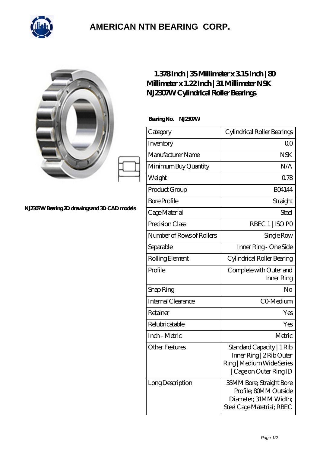

## **[AMERICAN NTN BEARING CORP.](https://all-about-hang-gliding.com)**

|                                                | $1.378$ Inch   35Millimeter x 315Inch   80<br>Millimeter x 1.22 Inch   31 Millimeter NSK<br>NJ2307W Cylindrical Roller Bearings |                                                                                                               |
|------------------------------------------------|---------------------------------------------------------------------------------------------------------------------------------|---------------------------------------------------------------------------------------------------------------|
| N.12307W Bearing 2D drawings and 3D CAD models | Bearing No. NJ2307W                                                                                                             |                                                                                                               |
|                                                | Category                                                                                                                        | Cylindrical Roller Bearings                                                                                   |
|                                                | Inventory                                                                                                                       | 0 <sub>0</sub>                                                                                                |
|                                                | Manufacturer Name                                                                                                               | <b>NSK</b>                                                                                                    |
|                                                | Minimum Buy Quantity                                                                                                            | N/A                                                                                                           |
|                                                | Weight                                                                                                                          | 0.78                                                                                                          |
|                                                | Product Group                                                                                                                   | <b>BO4144</b>                                                                                                 |
|                                                | <b>Bore Profile</b>                                                                                                             | Straight                                                                                                      |
|                                                | Cage Material                                                                                                                   | <b>Steel</b>                                                                                                  |
|                                                | Precision Class                                                                                                                 | RBEC 1   ISO PO                                                                                               |
|                                                | Number of Rows of Rollers                                                                                                       | Single Row                                                                                                    |
|                                                | Separable                                                                                                                       | Inner Ring - One Side                                                                                         |
|                                                | Rolling Element                                                                                                                 | Cylindrical Roller Bearing                                                                                    |
|                                                | Profile                                                                                                                         | Complete with Outer and<br>Inner Ring                                                                         |
|                                                | Snap Ring                                                                                                                       | No                                                                                                            |
|                                                | Internal Clearance                                                                                                              | CO-Medium                                                                                                     |
|                                                | Retainer                                                                                                                        | Yes                                                                                                           |
|                                                | Relubricatable                                                                                                                  | Yes                                                                                                           |
|                                                | Inch - Metric                                                                                                                   | Metric                                                                                                        |
|                                                | <b>Other Features</b>                                                                                                           | Standard Capacity   1 Rib<br>Inner Ring   2 Rib Outer<br>Ring   Medium Wide Series<br>  Cage on Outer Ring ID |
|                                                | Long Description                                                                                                                | <b>35MM Bore; Straight Bore</b><br>Profile; 80MM Outside<br>Diameter; 31MM Width;                             |

Steel Cage Matetrial; RBEC